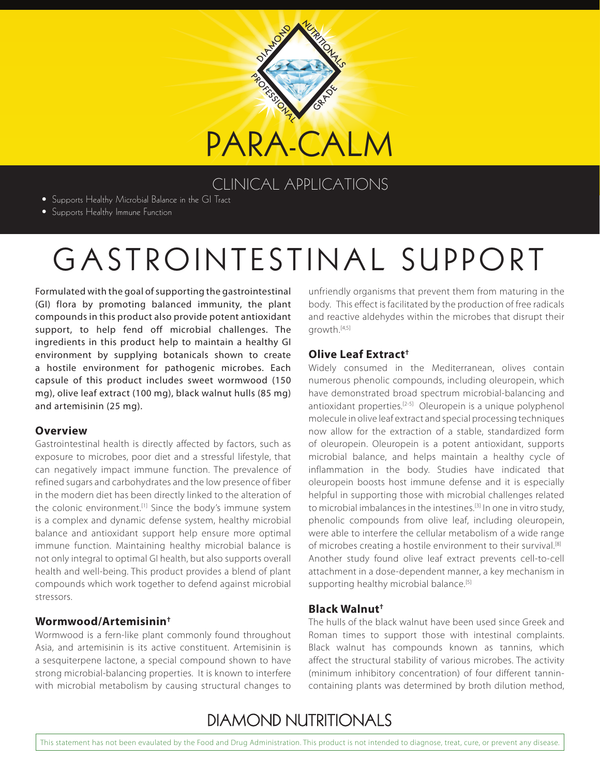

## CLINICAL APPLICATIONS

- Supports Healthy Microbial Balance in the GI Tract
- Supports Healthy Immune Function

# GASTROINTESTINAL SUPPORT

Formulated with the goal of supporting the gastrointestinal (GI) flora by promoting balanced immunity, the plant compounds in this product also provide potent antioxidant support, to help fend off microbial challenges. The ingredients in this product help to maintain a healthy GI environment by supplying botanicals shown to create a hostile environment for pathogenic microbes. Each capsule of this product includes sweet wormwood (150 mg), olive leaf extract (100 mg), black walnut hulls (85 mg) and artemisinin (25 mg).

#### **Overview**

Gastrointestinal health is directly affected by factors, such as exposure to microbes, poor diet and a stressful lifestyle, that can negatively impact immune function. The prevalence of refined sugars and carbohydrates and the low presence of fiber in the modern diet has been directly linked to the alteration of the colonic environment.<sup>[1]</sup> Since the body's immune system is a complex and dynamic defense system, healthy microbial balance and antioxidant support help ensure more optimal immune function. Maintaining healthy microbial balance is not only integral to optimal GI health, but also supports overall health and well-being. This product provides a blend of plant compounds which work together to defend against microbial stressors.

#### **Wormwood/Artemisinin†**

Wormwood is a fern-like plant commonly found throughout Asia, and artemisinin is its active constituent. Artemisinin is a sesquiterpene lactone, a special compound shown to have strong microbial-balancing properties. It is known to interfere with microbial metabolism by causing structural changes to

unfriendly organisms that prevent them from maturing in the body. This effect is facilitated by the production of free radicals and reactive aldehydes within the microbes that disrupt their growth.[4,5]

#### **Olive Leaf Extract†**

Widely consumed in the Mediterranean, olives contain numerous phenolic compounds, including oleuropein, which have demonstrated broad spectrum microbial-balancing and antioxidant properties.[2-5] Oleuropein is a unique polyphenol molecule in olive leaf extract and special processing techniques now allow for the extraction of a stable, standardized form of oleuropein. Oleuropein is a potent antioxidant, supports microbial balance, and helps maintain a healthy cycle of inflammation in the body. Studies have indicated that oleuropein boosts host immune defense and it is especially helpful in supporting those with microbial challenges related to microbial imbalances in the intestines.<sup>[3]</sup> In one in vitro study, phenolic compounds from olive leaf, including oleuropein, were able to interfere the cellular metabolism of a wide range of microbes creating a hostile environment to their survival.<sup>[8]</sup> Another study found olive leaf extract prevents cell-to-cell attachment in a dose-dependent manner, a key mechanism in supporting healthy microbial balance.<sup>[5]</sup>

#### **Black Walnut†**

The hulls of the black walnut have been used since Greek and Roman times to support those with intestinal complaints. Black walnut has compounds known as tannins, which affect the structural stability of various microbes. The activity (minimum inhibitory concentration) of four different tannincontaining plants was determined by broth dilution method,

# **DIAMOND NUTRITIONALS**